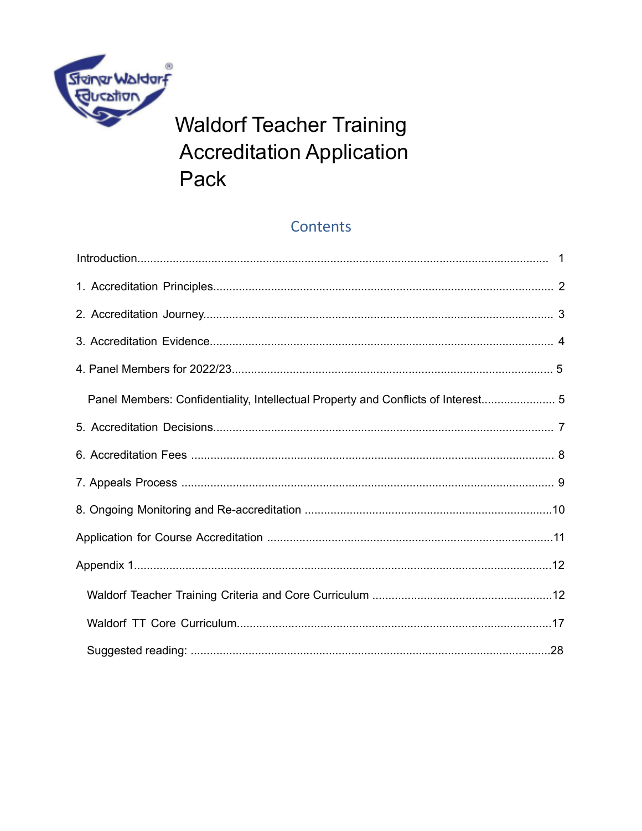

# **Waldorf Teacher Training Accreditation Application** Pack

### Contents

| Panel Members: Confidentiality, Intellectual Property and Conflicts of Interest 5 |  |
|-----------------------------------------------------------------------------------|--|
|                                                                                   |  |
|                                                                                   |  |
|                                                                                   |  |
|                                                                                   |  |
|                                                                                   |  |
|                                                                                   |  |
|                                                                                   |  |
|                                                                                   |  |
|                                                                                   |  |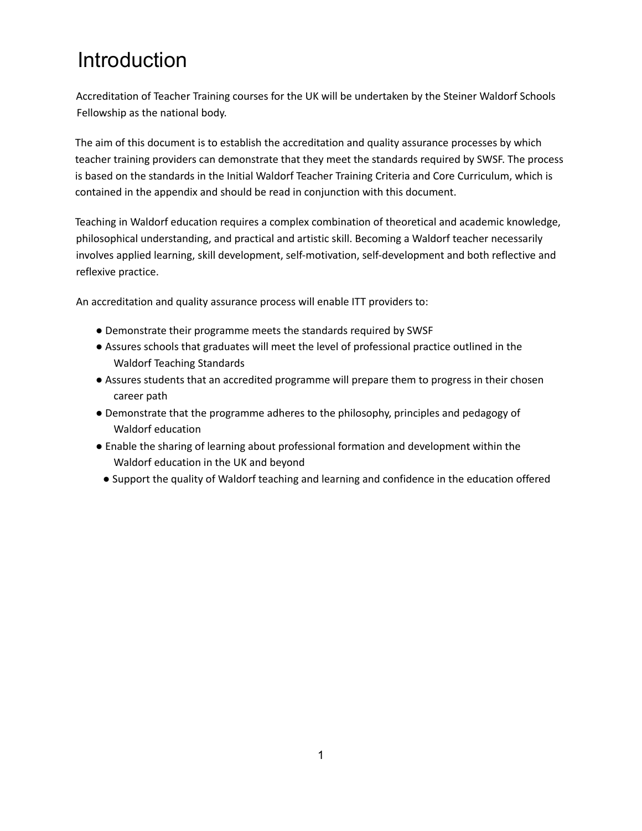### Introduction

Accreditation of Teacher Training courses for the UK will be undertaken by the Steiner Waldorf Schools Fellowship as the national body.

The aim of this document is to establish the accreditation and quality assurance processes by which teacher training providers can demonstrate that they meet the standards required by SWSF. The process is based on the standards in the Initial Waldorf Teacher Training Criteria and Core Curriculum, which is contained in the appendix and should be read in conjunction with this document.

Teaching in Waldorf education requires a complex combination of theoretical and academic knowledge, philosophical understanding, and practical and artistic skill. Becoming a Waldorf teacher necessarily involves applied learning, skill development, self-motivation, self-development and both reflective and reflexive practice.

An accreditation and quality assurance process will enable ITT providers to:

- Demonstrate their programme meets the standards required by SWSF
- Assures schools that graduates will meet the level of professional practice outlined in the Waldorf Teaching Standards
- Assures students that an accredited programme will prepare them to progress in their chosen career path
- Demonstrate that the programme adheres to the philosophy, principles and pedagogy of Waldorf education
- Enable the sharing of learning about professional formation and development within the Waldorf education in the UK and beyond
- Support the quality of Waldorf teaching and learning and confidence in the education offered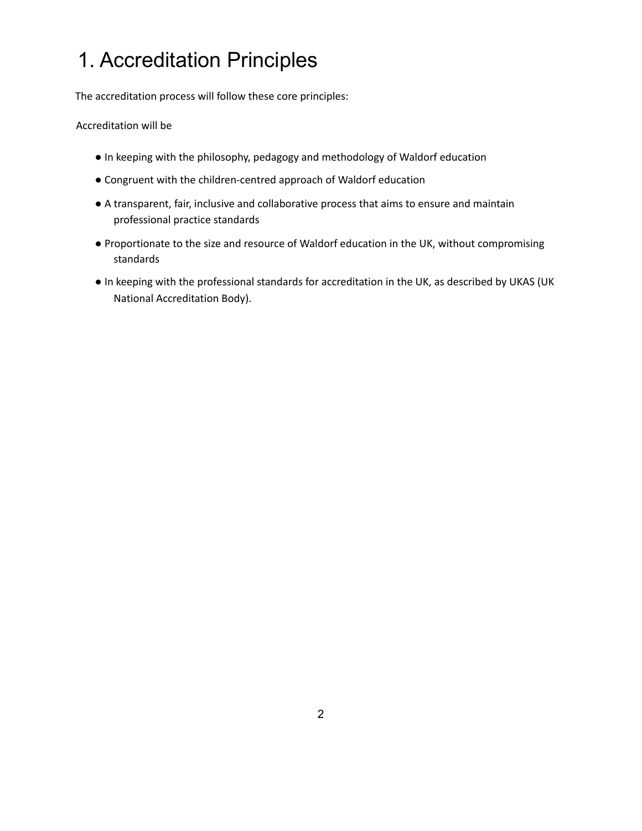# 1. Accreditation Principles

The accreditation process will follow these core principles:

Accreditation will be

- In keeping with the philosophy, pedagogy and methodology of Waldorf education
- Congruent with the children-centred approach of Waldorf education
- A transparent, fair, inclusive and collaborative process that aims to ensure and maintain professional practice standards
- Proportionate to the size and resource of Waldorf education in the UK, without compromising standards
- In keeping with the professional standards for accreditation in the UK, as described by UKAS (UK National Accreditation Body).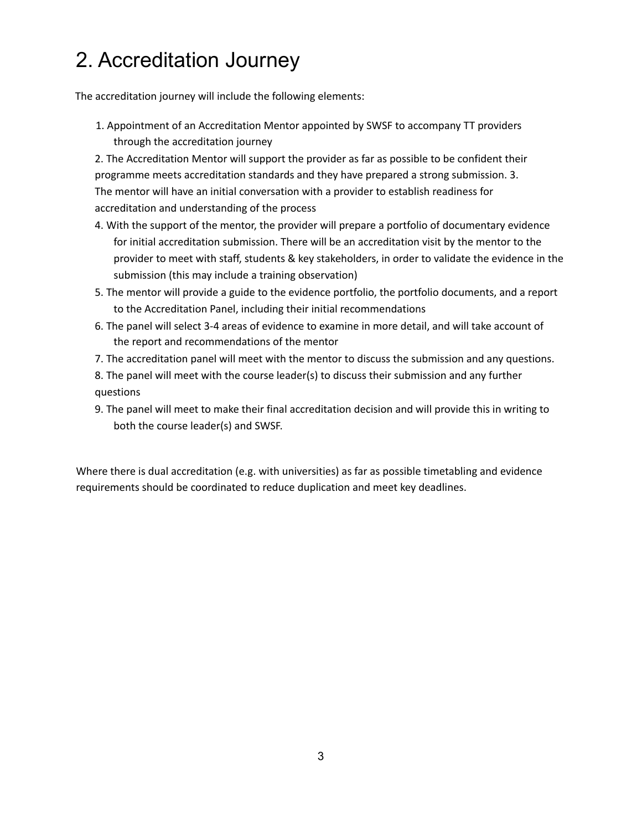# 2. Accreditation Journey

The accreditation journey will include the following elements:

1. Appointment of an Accreditation Mentor appointed by SWSF to accompany TT providers through the accreditation journey

2. The Accreditation Mentor will support the provider as far as possible to be confident their programme meets accreditation standards and they have prepared a strong submission. 3. The mentor will have an initial conversation with a provider to establish readiness for accreditation and understanding of the process

- 4. With the support of the mentor, the provider will prepare a portfolio of documentary evidence for initial accreditation submission. There will be an accreditation visit by the mentor to the provider to meet with staff, students & key stakeholders, in order to validate the evidence in the submission (this may include a training observation)
- 5. The mentor will provide a guide to the evidence portfolio, the portfolio documents, and a report to the Accreditation Panel, including their initial recommendations
- 6. The panel will select 3-4 areas of evidence to examine in more detail, and will take account of the report and recommendations of the mentor
- 7. The accreditation panel will meet with the mentor to discuss the submission and any questions.
- 8. The panel will meet with the course leader(s) to discuss their submission and any further questions
- 9. The panel will meet to make their final accreditation decision and will provide this in writing to both the course leader(s) and SWSF.

Where there is dual accreditation (e.g. with universities) as far as possible timetabling and evidence requirements should be coordinated to reduce duplication and meet key deadlines.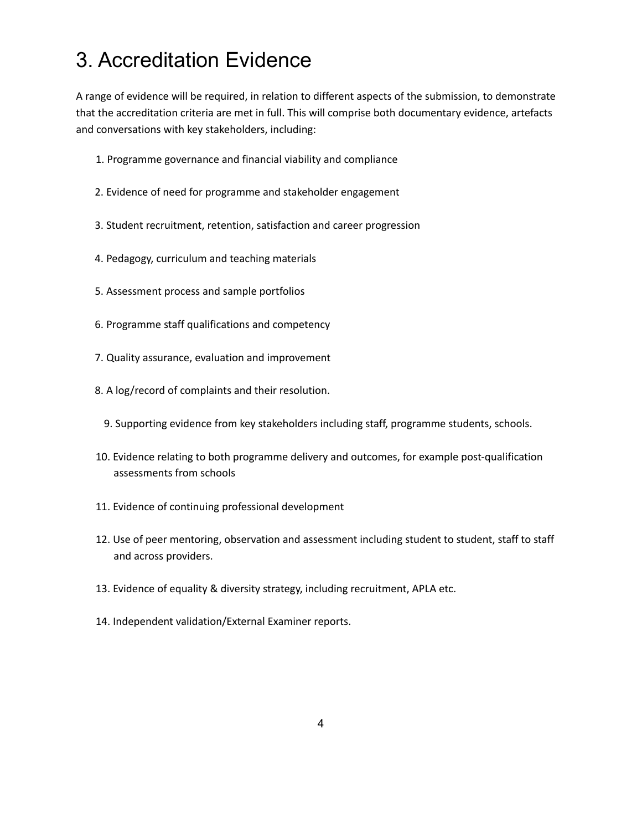### 3. Accreditation Evidence

A range of evidence will be required, in relation to different aspects of the submission, to demonstrate that the accreditation criteria are met in full. This will comprise both documentary evidence, artefacts and conversations with key stakeholders, including:

- 1. Programme governance and financial viability and compliance
- 2. Evidence of need for programme and stakeholder engagement
- 3. Student recruitment, retention, satisfaction and career progression
- 4. Pedagogy, curriculum and teaching materials
- 5. Assessment process and sample portfolios
- 6. Programme staff qualifications and competency
- 7. Quality assurance, evaluation and improvement
- 8. A log/record of complaints and their resolution.
	- 9. Supporting evidence from key stakeholders including staff, programme students, schools.
- 10. Evidence relating to both programme delivery and outcomes, for example post-qualification assessments from schools
- 11. Evidence of continuing professional development
- 12. Use of peer mentoring, observation and assessment including student to student, staff to staff and across providers.
- 13. Evidence of equality & diversity strategy, including recruitment, APLA etc.
- 14. Independent validation/External Examiner reports.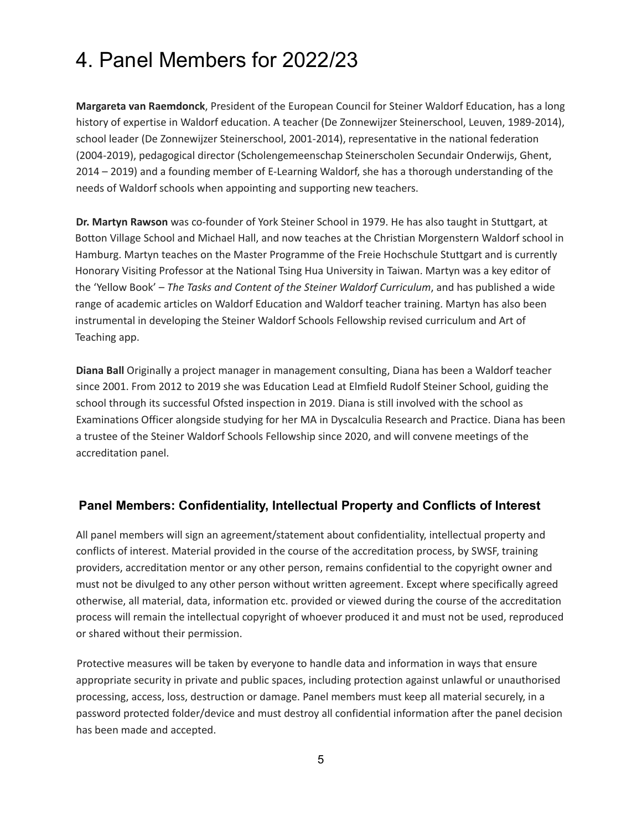### 4. Panel Members for 2022/23

**Margareta van Raemdonck**, President of the European Council for Steiner Waldorf Education, has a long history of expertise in Waldorf education. A teacher (De Zonnewijzer Steinerschool, Leuven, 1989-2014), school leader (De Zonnewijzer Steinerschool, 2001-2014), representative in the national federation (2004-2019), pedagogical director (Scholengemeenschap Steinerscholen Secundair Onderwijs, Ghent, 2014 – 2019) and a founding member of E-Learning Waldorf, she has a thorough understanding of the needs of Waldorf schools when appointing and supporting new teachers.

**Dr. Martyn Rawson** was co-founder of York Steiner School in 1979. He has also taught in Stuttgart, at Botton Village School and Michael Hall, and now teaches at the Christian Morgenstern Waldorf school in Hamburg. Martyn teaches on the Master Programme of the Freie Hochschule Stuttgart and is currently Honorary Visiting Professor at the National Tsing Hua University in Taiwan. Martyn was a key editor of the 'Yellow Book' – *The Tasks and Content of the Steiner Waldorf Curriculum*, and has published a wide range of academic articles on Waldorf Education and Waldorf teacher training. Martyn has also been instrumental in developing the Steiner Waldorf Schools Fellowship revised curriculum and Art of Teaching app.

**Diana Ball** Originally a project manager in management consulting, Diana has been a Waldorf teacher since 2001. From 2012 to 2019 she was Education Lead at Elmfield Rudolf Steiner School, guiding the school through its successful Ofsted inspection in 2019. Diana is still involved with the school as Examinations Officer alongside studying for her MA in Dyscalculia Research and Practice. Diana has been a trustee of the Steiner Waldorf Schools Fellowship since 2020, and will convene meetings of the accreditation panel.

#### **Panel Members: Confidentiality, Intellectual Property and Conflicts of Interest**

All panel members will sign an agreement/statement about confidentiality, intellectual property and conflicts of interest. Material provided in the course of the accreditation process, by SWSF, training providers, accreditation mentor or any other person, remains confidential to the copyright owner and must not be divulged to any other person without written agreement. Except where specifically agreed otherwise, all material, data, information etc. provided or viewed during the course of the accreditation process will remain the intellectual copyright of whoever produced it and must not be used, reproduced or shared without their permission.

Protective measures will be taken by everyone to handle data and information in ways that ensure appropriate security in private and public spaces, including protection against unlawful or unauthorised processing, access, loss, destruction or damage. Panel members must keep all material securely, in a password protected folder/device and must destroy all confidential information after the panel decision has been made and accepted.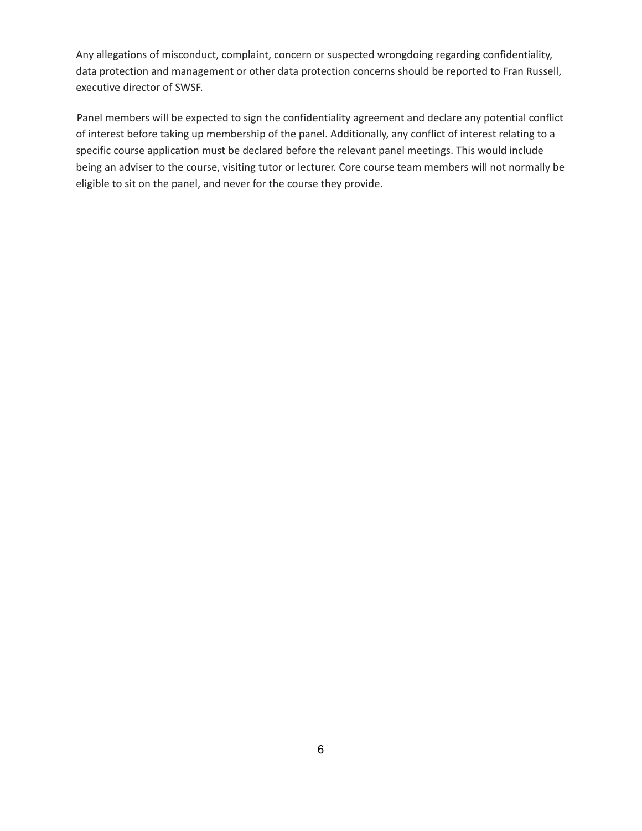Any allegations of misconduct, complaint, concern or suspected wrongdoing regarding confidentiality, data protection and management or other data protection concerns should be reported to Fran Russell, executive director of SWSF.

Panel members will be expected to sign the confidentiality agreement and declare any potential conflict of interest before taking up membership of the panel. Additionally, any conflict of interest relating to a specific course application must be declared before the relevant panel meetings. This would include being an adviser to the course, visiting tutor or lecturer. Core course team members will not normally be eligible to sit on the panel, and never for the course they provide.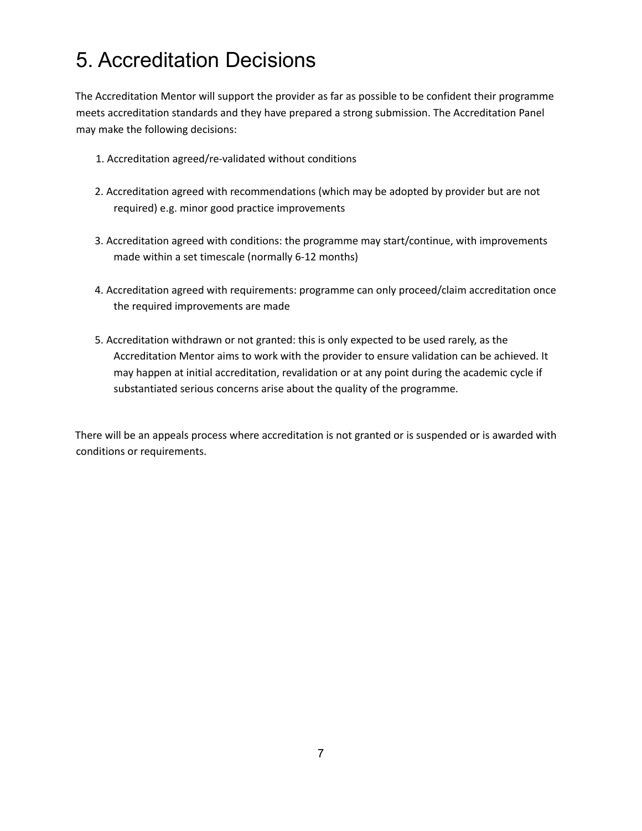### 5. Accreditation Decisions

The Accreditation Mentor will support the provider as far as possible to be confident their programme meets accreditation standards and they have prepared a strong submission. The Accreditation Panel may make the following decisions:

- 1. Accreditation agreed/re-validated without conditions
- 2. Accreditation agreed with recommendations (which may be adopted by provider but are not required) e.g. minor good practice improvements
- 3. Accreditation agreed with conditions: the programme may start/continue, with improvements made within a set timescale (normally 6-12 months)
- 4. Accreditation agreed with requirements: programme can only proceed/claim accreditation once the required improvements are made
- 5. Accreditation withdrawn or not granted: this is only expected to be used rarely, as the Accreditation Mentor aims to work with the provider to ensure validation can be achieved. It may happen at initial accreditation, revalidation or at any point during the academic cycle if substantiated serious concerns arise about the quality of the programme.

There will be an appeals process where accreditation is not granted or is suspended or is awarded with conditions or requirements.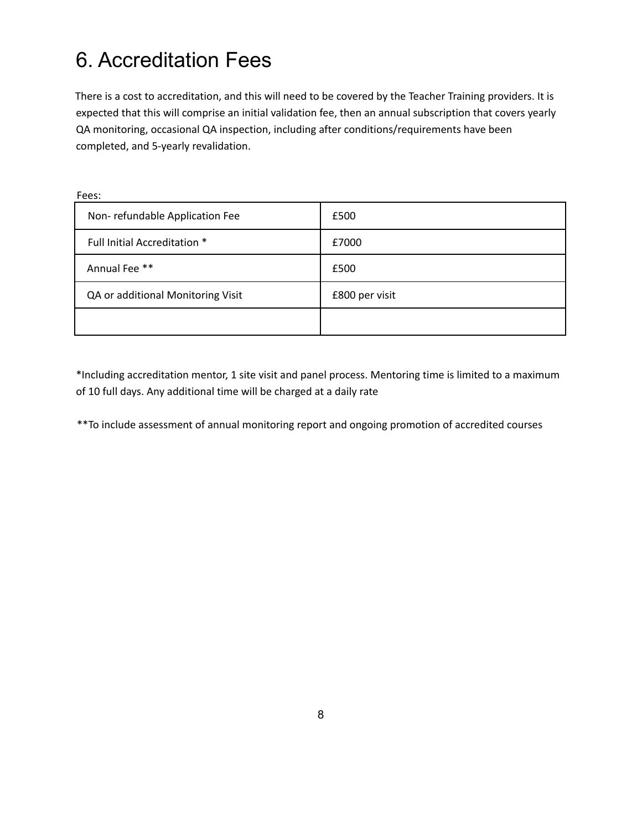### 6. Accreditation Fees

There is a cost to accreditation, and this will need to be covered by the Teacher Training providers. It is expected that this will comprise an initial validation fee, then an annual subscription that covers yearly QA monitoring, occasional QA inspection, including after conditions/requirements have been completed, and 5-yearly revalidation.

| Fees:                             |                |
|-----------------------------------|----------------|
| Non-refundable Application Fee    | £500           |
| Full Initial Accreditation *      | £7000          |
| Annual Fee **                     | £500           |
| QA or additional Monitoring Visit | £800 per visit |
|                                   |                |

\*Including accreditation mentor, 1 site visit and panel process. Mentoring time is limited to a maximum of 10 full days. Any additional time will be charged at a daily rate

\*\*To include assessment of annual monitoring report and ongoing promotion of accredited courses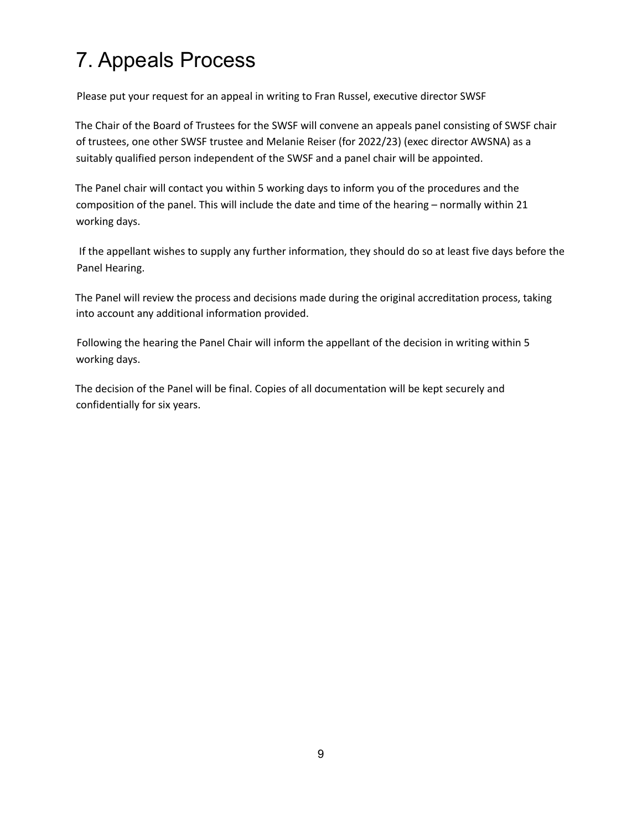# 7. Appeals Process

Please put your request for an appeal in writing to Fran Russel, executive director SWSF

The Chair of the Board of Trustees for the SWSF will convene an appeals panel consisting of SWSF chair of trustees, one other SWSF trustee and Melanie Reiser (for 2022/23) (exec director AWSNA) as a suitably qualified person independent of the SWSF and a panel chair will be appointed.

The Panel chair will contact you within 5 working days to inform you of the procedures and the composition of the panel. This will include the date and time of the hearing – normally within 21 working days.

If the appellant wishes to supply any further information, they should do so at least five days before the Panel Hearing.

The Panel will review the process and decisions made during the original accreditation process, taking into account any additional information provided.

Following the hearing the Panel Chair will inform the appellant of the decision in writing within 5 working days.

The decision of the Panel will be final. Copies of all documentation will be kept securely and confidentially for six years.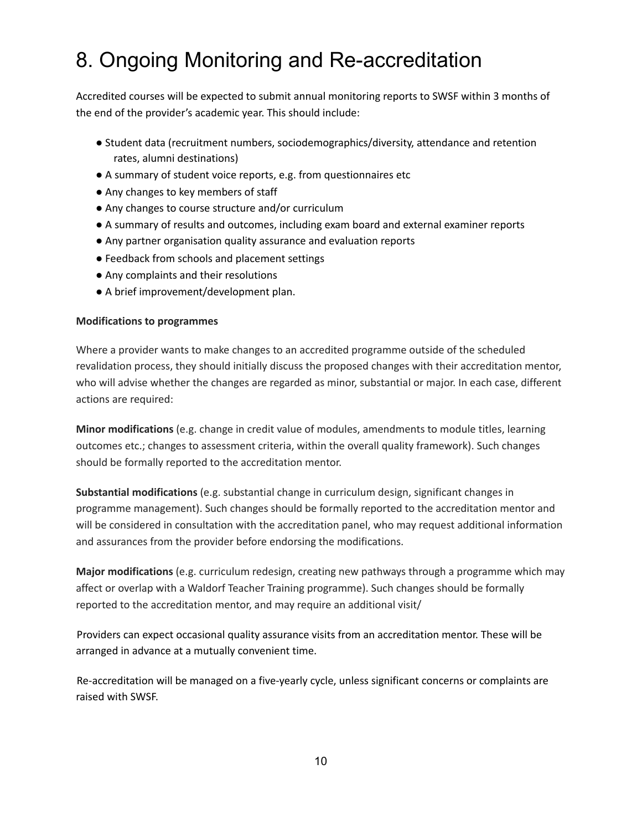### 8. Ongoing Monitoring and Re-accreditation

Accredited courses will be expected to submit annual monitoring reports to SWSF within 3 months of the end of the provider's academic year. This should include:

- Student data (recruitment numbers, sociodemographics/diversity, attendance and retention rates, alumni destinations)
- A summary of student voice reports, e.g. from questionnaires etc
- Any changes to key members of staff
- Any changes to course structure and/or curriculum
- A summary of results and outcomes, including exam board and external examiner reports
- Any partner organisation quality assurance and evaluation reports
- Feedback from schools and placement settings
- Any complaints and their resolutions
- A brief improvement/development plan.

#### **Modifications to programmes**

Where a provider wants to make changes to an accredited programme outside of the scheduled revalidation process, they should initially discuss the proposed changes with their accreditation mentor, who will advise whether the changes are regarded as minor, substantial or major. In each case, different actions are required:

**Minor modifications** (e.g. change in credit value of modules, amendments to module titles, learning outcomes etc.; changes to assessment criteria, within the overall quality framework). Such changes should be formally reported to the accreditation mentor.

**Substantial modifications** (e.g. substantial change in curriculum design, significant changes in programme management). Such changes should be formally reported to the accreditation mentor and will be considered in consultation with the accreditation panel, who may request additional information and assurances from the provider before endorsing the modifications.

**Major modifications** (e.g. curriculum redesign, creating new pathways through a programme which may affect or overlap with a Waldorf Teacher Training programme). Such changes should be formally reported to the accreditation mentor, and may require an additional visit/

Providers can expect occasional quality assurance visits from an accreditation mentor. These will be arranged in advance at a mutually convenient time.

Re-accreditation will be managed on a five-yearly cycle, unless significant concerns or complaints are raised with SWSF.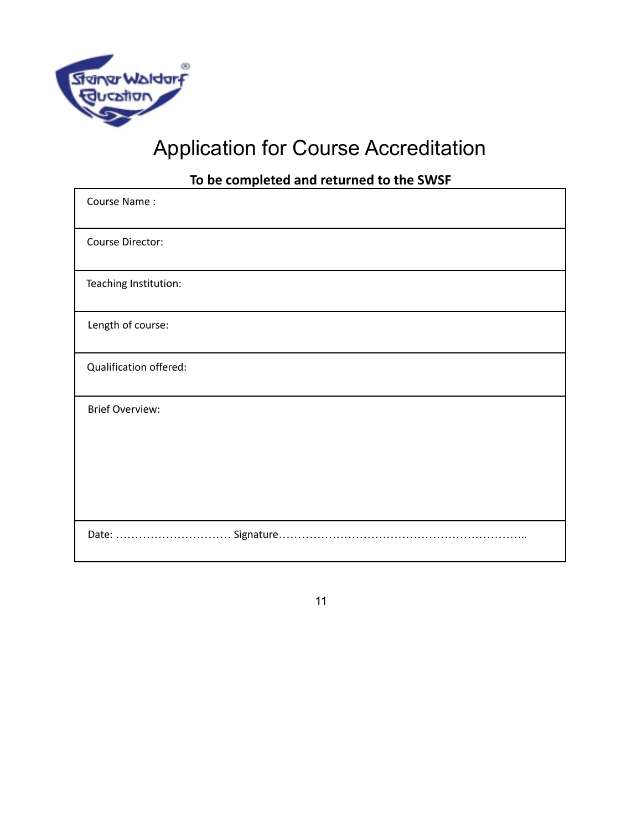

# Application for Course Accreditation

### **To be completed and returned to the SWSF**

| Course Name:           |
|------------------------|
| Course Director:       |
| Teaching Institution:  |
| Length of course:      |
| Qualification offered: |
| <b>Brief Overview:</b> |
|                        |

11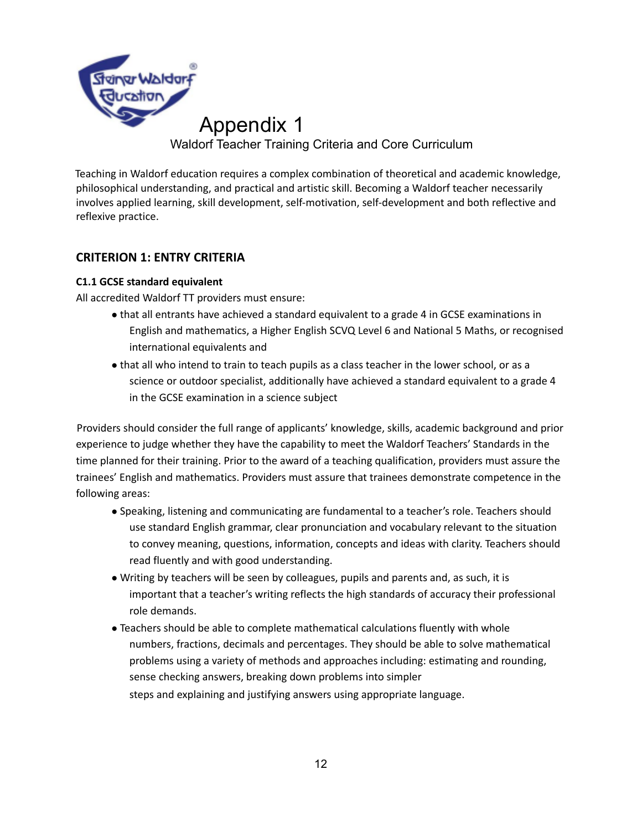

Teaching in Waldorf education requires a complex combination of theoretical and academic knowledge, philosophical understanding, and practical and artistic skill. Becoming a Waldorf teacher necessarily involves applied learning, skill development, self-motivation, self-development and both reflective and reflexive practice.

#### **CRITERION 1: ENTRY CRITERIA**

#### **C1.1 GCSE standard equivalent**

All accredited Waldorf TT providers must ensure:

- that all entrants have achieved a standard equivalent to a grade 4 in GCSE examinations in English and mathematics, a Higher English SCVQ Level 6 and National 5 Maths, or recognised international equivalents and
- that all who intend to train to teach pupils as a class teacher in the lower school, or as a science or outdoor specialist, additionally have achieved a standard equivalent to a grade 4 in the GCSE examination in a science subject

Providers should consider the full range of applicants' knowledge, skills, academic background and prior experience to judge whether they have the capability to meet the Waldorf Teachers' Standards in the time planned for their training. Prior to the award of a teaching qualification, providers must assure the trainees' English and mathematics. Providers must assure that trainees demonstrate competence in the following areas:

- Speaking, listening and communicating are fundamental to a teacher's role. Teachers should use standard English grammar, clear pronunciation and vocabulary relevant to the situation to convey meaning, questions, information, concepts and ideas with clarity. Teachers should read fluently and with good understanding.
- Writing by teachers will be seen by colleagues, pupils and parents and, as such, it is important that a teacher's writing reflects the high standards of accuracy their professional role demands.
- Teachers should be able to complete mathematical calculations fluently with whole numbers, fractions, decimals and percentages. They should be able to solve mathematical problems using a variety of methods and approaches including: estimating and rounding, sense checking answers, breaking down problems into simpler steps and explaining and justifying answers using appropriate language.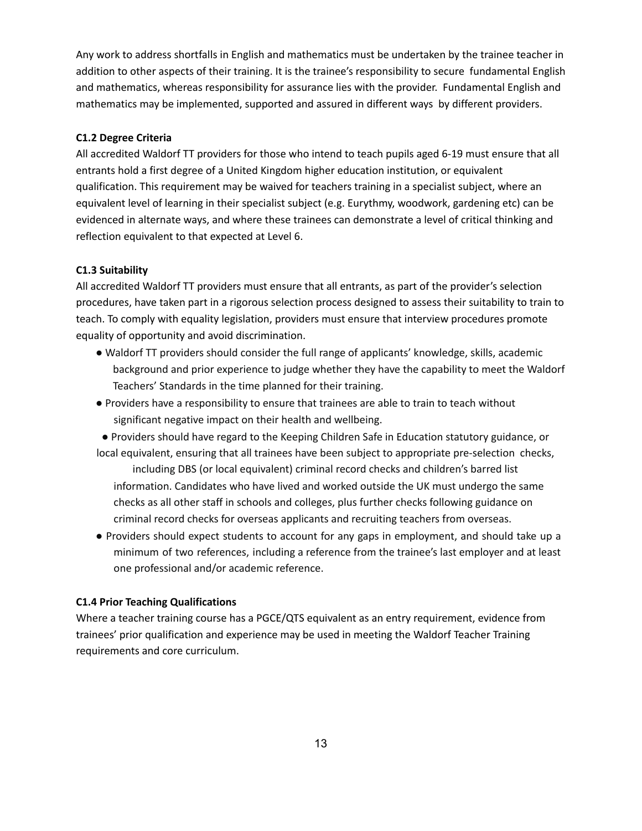Any work to address shortfalls in English and mathematics must be undertaken by the trainee teacher in addition to other aspects of their training. It is the trainee's responsibility to secure fundamental English and mathematics, whereas responsibility for assurance lies with the provider. Fundamental English and mathematics may be implemented, supported and assured in different ways by different providers.

#### **C1.2 Degree Criteria**

All accredited Waldorf TT providers for those who intend to teach pupils aged 6-19 must ensure that all entrants hold a first degree of a United Kingdom higher education institution, or equivalent qualification. This requirement may be waived for teachers training in a specialist subject, where an equivalent level of learning in their specialist subject (e.g. Eurythmy, woodwork, gardening etc) can be evidenced in alternate ways, and where these trainees can demonstrate a level of critical thinking and reflection equivalent to that expected at Level 6.

#### **C1.3 Suitability**

All accredited Waldorf TT providers must ensure that all entrants, as part of the provider's selection procedures, have taken part in a rigorous selection process designed to assess their suitability to train to teach. To comply with equality legislation, providers must ensure that interview procedures promote equality of opportunity and avoid discrimination.

- Waldorf TT providers should consider the full range of applicants' knowledge, skills, academic background and prior experience to judge whether they have the capability to meet the Waldorf Teachers' Standards in the time planned for their training.
- Providers have a responsibility to ensure that trainees are able to train to teach without significant negative impact on their health and wellbeing.
- Providers should have regard to the Keeping Children Safe in Education statutory guidance, or local equivalent, ensuring that all trainees have been subject to appropriate pre-selection checks,

including DBS (or local equivalent) criminal record checks and children's barred list information. Candidates who have lived and worked outside the UK must undergo the same checks as all other staff in schools and colleges, plus further checks following guidance on criminal record checks for overseas applicants and recruiting teachers from overseas.

● Providers should expect students to account for any gaps in employment, and should take up a minimum of two references, including a reference from the trainee's last employer and at least one professional and/or academic reference.

#### **C1.4 Prior Teaching Qualifications**

Where a teacher training course has a PGCE/QTS equivalent as an entry requirement, evidence from trainees' prior qualification and experience may be used in meeting the Waldorf Teacher Training requirements and core curriculum.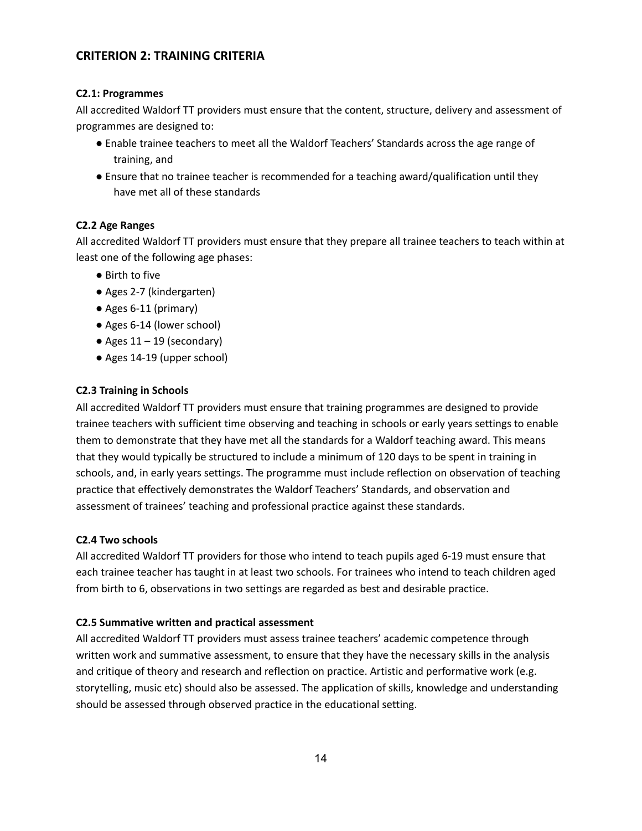#### **CRITERION 2: TRAINING CRITERIA**

#### **C2.1: Programmes**

All accredited Waldorf TT providers must ensure that the content, structure, delivery and assessment of programmes are designed to:

- Enable trainee teachers to meet all the Waldorf Teachers' Standards across the age range of training, and
- Ensure that no trainee teacher is recommended for a teaching award/qualification until they have met all of these standards

#### **C2.2 Age Ranges**

All accredited Waldorf TT providers must ensure that they prepare all trainee teachers to teach within at least one of the following age phases:

- Birth to five
- Ages 2-7 (kindergarten)
- Ages 6-11 (primary)
- Ages 6-14 (lower school)
- $\bullet$  Ages 11 19 (secondary)
- Ages 14-19 (upper school)

#### **C2.3 Training in Schools**

All accredited Waldorf TT providers must ensure that training programmes are designed to provide trainee teachers with sufficient time observing and teaching in schools or early years settings to enable them to demonstrate that they have met all the standards for a Waldorf teaching award. This means that they would typically be structured to include a minimum of 120 days to be spent in training in schools, and, in early years settings. The programme must include reflection on observation of teaching practice that effectively demonstrates the Waldorf Teachers' Standards, and observation and assessment of trainees' teaching and professional practice against these standards.

#### **C2.4 Two schools**

All accredited Waldorf TT providers for those who intend to teach pupils aged 6-19 must ensure that each trainee teacher has taught in at least two schools. For trainees who intend to teach children aged from birth to 6, observations in two settings are regarded as best and desirable practice.

#### **C2.5 Summative written and practical assessment**

All accredited Waldorf TT providers must assess trainee teachers' academic competence through written work and summative assessment, to ensure that they have the necessary skills in the analysis and critique of theory and research and reflection on practice. Artistic and performative work (e.g. storytelling, music etc) should also be assessed. The application of skills, knowledge and understanding should be assessed through observed practice in the educational setting.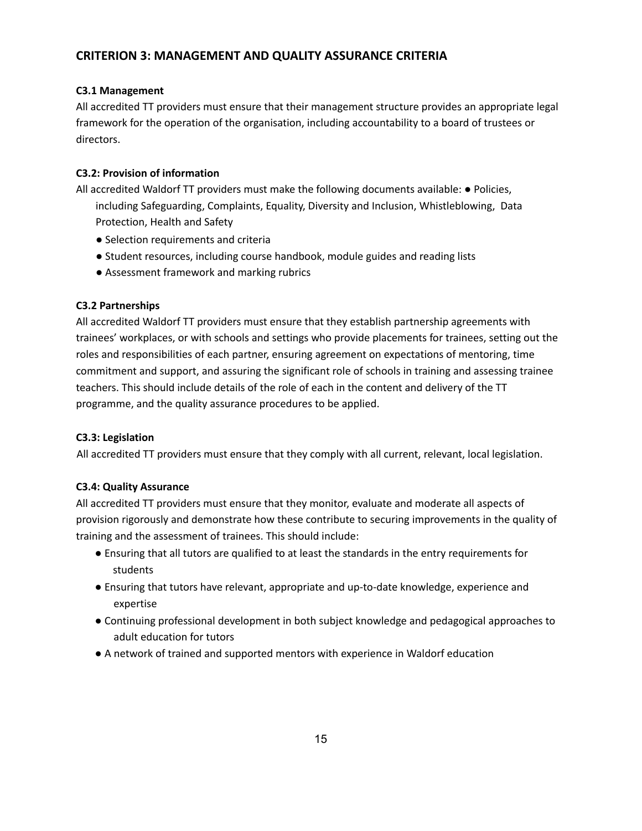#### **CRITERION 3: MANAGEMENT AND QUALITY ASSURANCE CRITERIA**

#### **C3.1 Management**

All accredited TT providers must ensure that their management structure provides an appropriate legal framework for the operation of the organisation, including accountability to a board of trustees or directors.

#### **C3.2: Provision of information**

All accredited Waldorf TT providers must make the following documents available: ● Policies, including Safeguarding, Complaints, Equality, Diversity and Inclusion, Whistleblowing, Data Protection, Health and Safety

- Selection requirements and criteria
- Student resources, including course handbook, module guides and reading lists
- Assessment framework and marking rubrics

#### **C3.2 Partnerships**

All accredited Waldorf TT providers must ensure that they establish partnership agreements with trainees' workplaces, or with schools and settings who provide placements for trainees, setting out the roles and responsibilities of each partner, ensuring agreement on expectations of mentoring, time commitment and support, and assuring the significant role of schools in training and assessing trainee teachers. This should include details of the role of each in the content and delivery of the TT programme, and the quality assurance procedures to be applied.

#### **C3.3: Legislation**

All accredited TT providers must ensure that they comply with all current, relevant, local legislation.

#### **C3.4: Quality Assurance**

All accredited TT providers must ensure that they monitor, evaluate and moderate all aspects of provision rigorously and demonstrate how these contribute to securing improvements in the quality of training and the assessment of trainees. This should include:

- Ensuring that all tutors are qualified to at least the standards in the entry requirements for students
- Ensuring that tutors have relevant, appropriate and up-to-date knowledge, experience and expertise
- Continuing professional development in both subject knowledge and pedagogical approaches to adult education for tutors
- A network of trained and supported mentors with experience in Waldorf education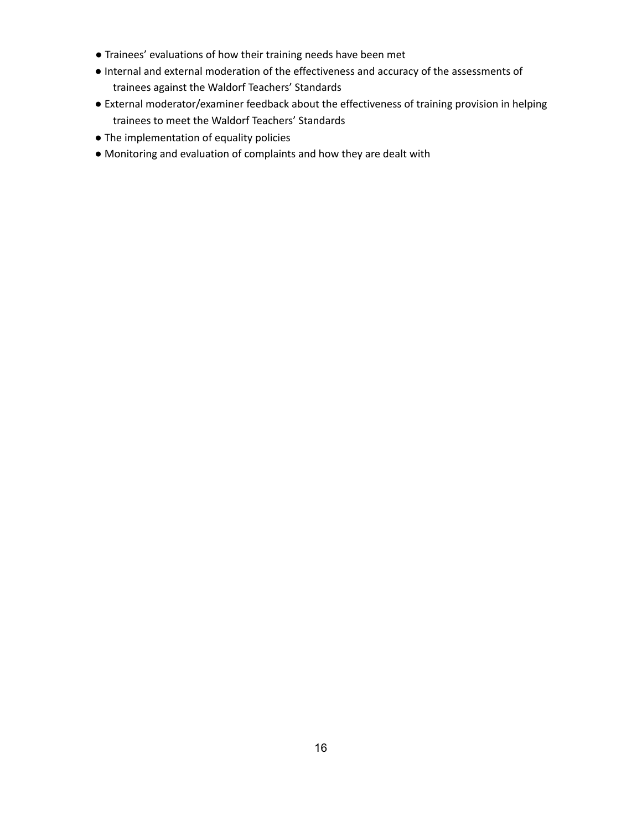- Trainees' evaluations of how their training needs have been met
- Internal and external moderation of the effectiveness and accuracy of the assessments of trainees against the Waldorf Teachers' Standards
- External moderator/examiner feedback about the effectiveness of training provision in helping trainees to meet the Waldorf Teachers' Standards
- The implementation of equality policies
- Monitoring and evaluation of complaints and how they are dealt with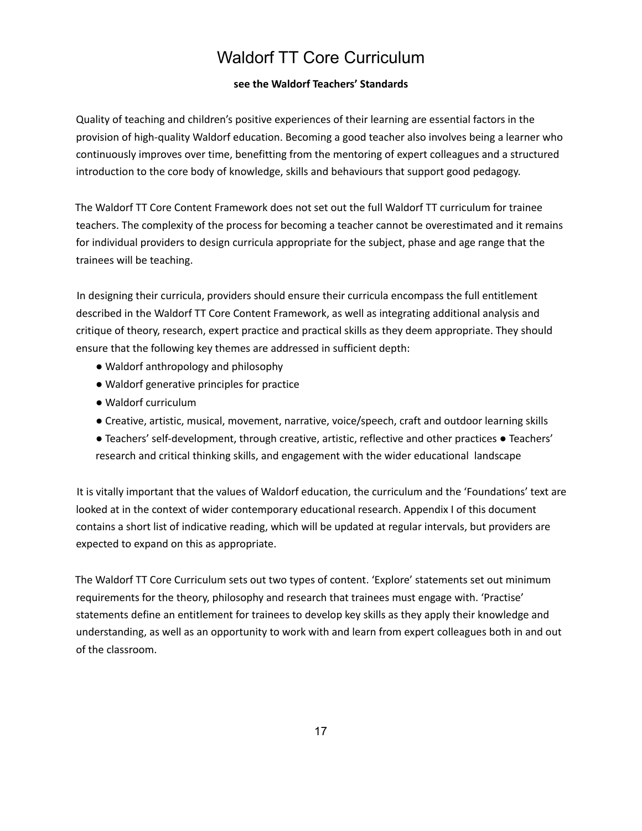### Waldorf TT Core Curriculum

#### **see the Waldorf Teachers' Standards**

Quality of teaching and children's positive experiences of their learning are essential factors in the provision of high-quality Waldorf education. Becoming a good teacher also involves being a learner who continuously improves over time, benefitting from the mentoring of expert colleagues and a structured introduction to the core body of knowledge, skills and behaviours that support good pedagogy.

The Waldorf TT Core Content Framework does not set out the full Waldorf TT curriculum for trainee teachers. The complexity of the process for becoming a teacher cannot be overestimated and it remains for individual providers to design curricula appropriate for the subject, phase and age range that the trainees will be teaching.

In designing their curricula, providers should ensure their curricula encompass the full entitlement described in the Waldorf TT Core Content Framework, as well as integrating additional analysis and critique of theory, research, expert practice and practical skills as they deem appropriate. They should ensure that the following key themes are addressed in sufficient depth:

- Waldorf anthropology and philosophy
- Waldorf generative principles for practice
- Waldorf curriculum
- Creative, artistic, musical, movement, narrative, voice/speech, craft and outdoor learning skills
- Teachers' self-development, through creative, artistic, reflective and other practices Teachers' research and critical thinking skills, and engagement with the wider educational landscape

It is vitally important that the values of Waldorf education, the curriculum and the 'Foundations' text are looked at in the context of wider contemporary educational research. Appendix I of this document contains a short list of indicative reading, which will be updated at regular intervals, but providers are expected to expand on this as appropriate.

The Waldorf TT Core Curriculum sets out two types of content. 'Explore' statements set out minimum requirements for the theory, philosophy and research that trainees must engage with. 'Practise' statements define an entitlement for trainees to develop key skills as they apply their knowledge and understanding, as well as an opportunity to work with and learn from expert colleagues both in and out of the classroom.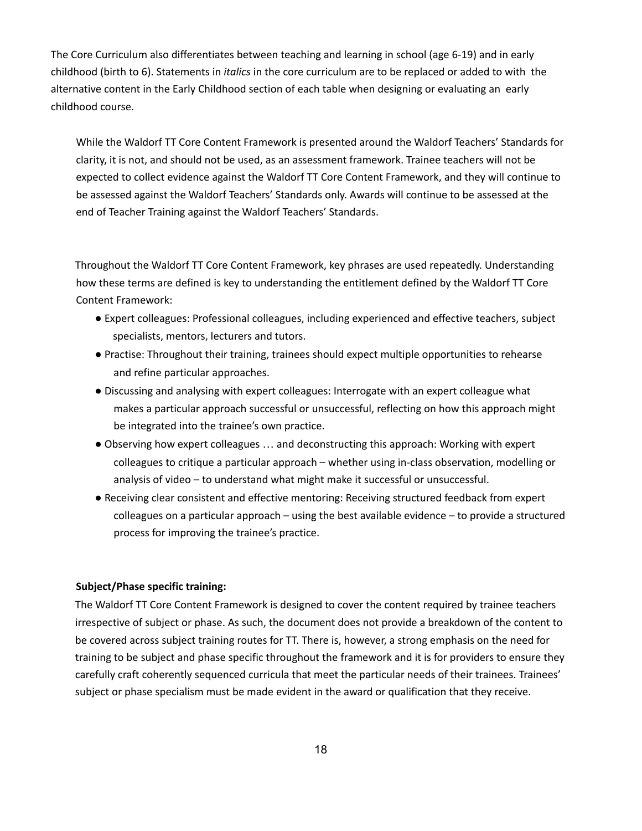The Core Curriculum also differentiates between teaching and learning in school (age 6-19) and in early childhood (birth to 6). Statements in *italics* in the core curriculum are to be replaced or added to with the alternative content in the Early Childhood section of each table when designing or evaluating an early childhood course.

While the Waldorf TT Core Content Framework is presented around the Waldorf Teachers' Standards for clarity, it is not, and should not be used, as an assessment framework. Trainee teachers will not be expected to collect evidence against the Waldorf TT Core Content Framework, and they will continue to be assessed against the Waldorf Teachers' Standards only. Awards will continue to be assessed at the end of Teacher Training against the Waldorf Teachers' Standards.

Throughout the Waldorf TT Core Content Framework, key phrases are used repeatedly. Understanding how these terms are defined is key to understanding the entitlement defined by the Waldorf TT Core Content Framework:

- Expert colleagues: Professional colleagues, including experienced and effective teachers, subject specialists, mentors, lecturers and tutors.
- Practise: Throughout their training, trainees should expect multiple opportunities to rehearse and refine particular approaches.
- Discussing and analysing with expert colleagues: Interrogate with an expert colleague what makes a particular approach successful or unsuccessful, reflecting on how this approach might be integrated into the trainee's own practice.
- Observing how expert colleagues … and deconstructing this approach: Working with expert colleagues to critique a particular approach – whether using in-class observation, modelling or analysis of video – to understand what might make it successful or unsuccessful.
- Receiving clear consistent and effective mentoring: Receiving structured feedback from expert colleagues on a particular approach – using the best available evidence – to provide a structured process for improving the trainee's practice.

#### **Subject/Phase specific training:**

The Waldorf TT Core Content Framework is designed to cover the content required by trainee teachers irrespective of subject or phase. As such, the document does not provide a breakdown of the content to be covered across subject training routes for TT. There is, however, a strong emphasis on the need for training to be subject and phase specific throughout the framework and it is for providers to ensure they carefully craft coherently sequenced curricula that meet the particular needs of their trainees. Trainees' subject or phase specialism must be made evident in the award or qualification that they receive.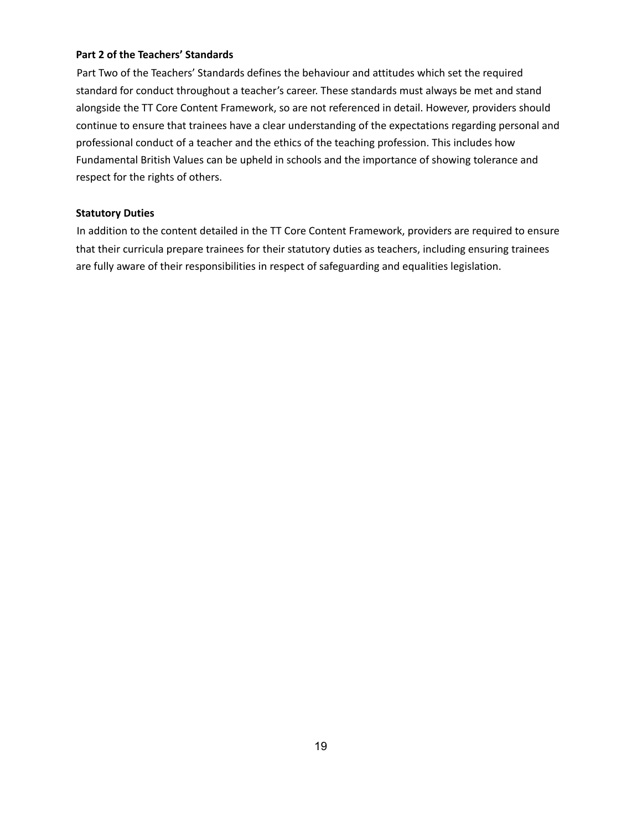#### **Part 2 of the Teachers' Standards**

Part Two of the Teachers' Standards defines the behaviour and attitudes which set the required standard for conduct throughout a teacher's career. These standards must always be met and stand alongside the TT Core Content Framework, so are not referenced in detail. However, providers should continue to ensure that trainees have a clear understanding of the expectations regarding personal and professional conduct of a teacher and the ethics of the teaching profession. This includes how Fundamental British Values can be upheld in schools and the importance of showing tolerance and respect for the rights of others.

#### **Statutory Duties**

In addition to the content detailed in the TT Core Content Framework, providers are required to ensure that their curricula prepare trainees for their statutory duties as teachers, including ensuring trainees are fully aware of their responsibilities in respect of safeguarding and equalities legislation.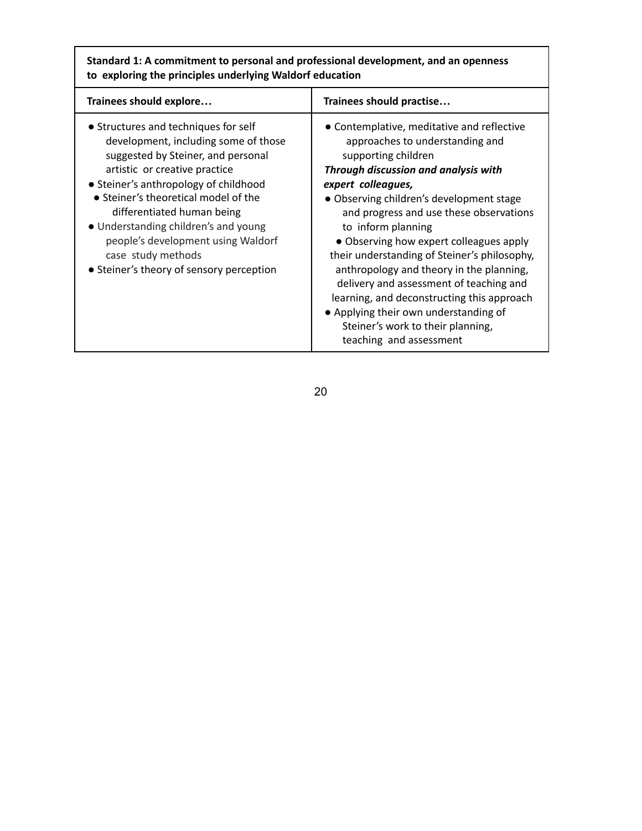#### **Standard 1: A commitment to personal and professional development, and an openness to exploring the principles underlying Waldorf education**

| Trainees should explore                                                                                                                                                                                                                                                                                                                                                                                            | Trainees should practise                                                                                                                                                                                                                                                                                                                                                                                                                                                                                                                                                                                                 |
|--------------------------------------------------------------------------------------------------------------------------------------------------------------------------------------------------------------------------------------------------------------------------------------------------------------------------------------------------------------------------------------------------------------------|--------------------------------------------------------------------------------------------------------------------------------------------------------------------------------------------------------------------------------------------------------------------------------------------------------------------------------------------------------------------------------------------------------------------------------------------------------------------------------------------------------------------------------------------------------------------------------------------------------------------------|
| • Structures and techniques for self<br>development, including some of those<br>suggested by Steiner, and personal<br>artistic or creative practice<br>• Steiner's anthropology of childhood<br>• Steiner's theoretical model of the<br>differentiated human being<br>• Understanding children's and young<br>people's development using Waldorf<br>case study methods<br>• Steiner's theory of sensory perception | • Contemplative, meditative and reflective<br>approaches to understanding and<br>supporting children<br>Through discussion and analysis with<br>expert colleagues,<br>· Observing children's development stage<br>and progress and use these observations<br>to inform planning<br>• Observing how expert colleagues apply<br>their understanding of Steiner's philosophy,<br>anthropology and theory in the planning,<br>delivery and assessment of teaching and<br>learning, and deconstructing this approach<br>• Applying their own understanding of<br>Steiner's work to their planning,<br>teaching and assessment |

20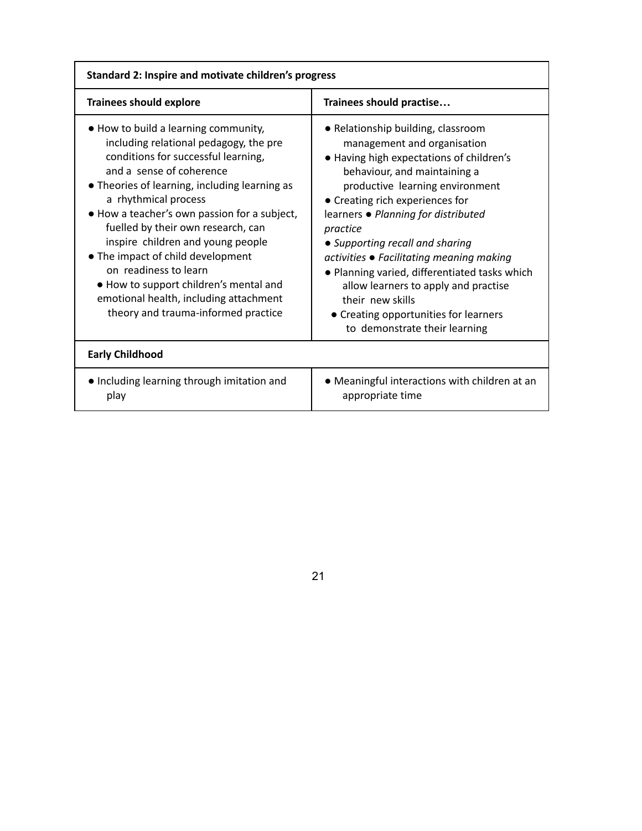| Standard 2: Inspire and motivate children's progress                                                                                                                                                                                                                                                                                                                                                                                                                                                                                           |                                                                                                                                                                                                                                                                                                                                                                                                                                                                                                                                              |
|------------------------------------------------------------------------------------------------------------------------------------------------------------------------------------------------------------------------------------------------------------------------------------------------------------------------------------------------------------------------------------------------------------------------------------------------------------------------------------------------------------------------------------------------|----------------------------------------------------------------------------------------------------------------------------------------------------------------------------------------------------------------------------------------------------------------------------------------------------------------------------------------------------------------------------------------------------------------------------------------------------------------------------------------------------------------------------------------------|
| <b>Trainees should explore</b>                                                                                                                                                                                                                                                                                                                                                                                                                                                                                                                 | Trainees should practise                                                                                                                                                                                                                                                                                                                                                                                                                                                                                                                     |
| • How to build a learning community,<br>including relational pedagogy, the pre<br>conditions for successful learning,<br>and a sense of coherence<br>• Theories of learning, including learning as<br>a rhythmical process<br>. How a teacher's own passion for a subject,<br>fuelled by their own research, can<br>inspire children and young people<br>• The impact of child development<br>on readiness to learn<br>• How to support children's mental and<br>emotional health, including attachment<br>theory and trauma-informed practice | • Relationship building, classroom<br>management and organisation<br>. Having high expectations of children's<br>behaviour, and maintaining a<br>productive learning environment<br>• Creating rich experiences for<br>learners · Planning for distributed<br>practice<br>• Supporting recall and sharing<br>activities · Facilitating meaning making<br>. Planning varied, differentiated tasks which<br>allow learners to apply and practise<br>their new skills<br>• Creating opportunities for learners<br>to demonstrate their learning |
| <b>Early Childhood</b>                                                                                                                                                                                                                                                                                                                                                                                                                                                                                                                         |                                                                                                                                                                                                                                                                                                                                                                                                                                                                                                                                              |
| • Including learning through imitation and<br>play                                                                                                                                                                                                                                                                                                                                                                                                                                                                                             | • Meaningful interactions with children at an<br>appropriate time                                                                                                                                                                                                                                                                                                                                                                                                                                                                            |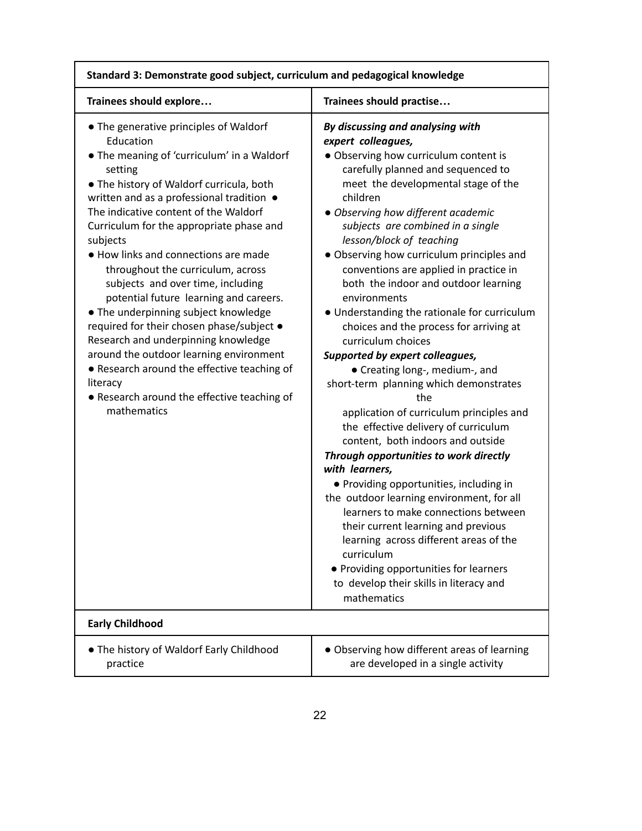| Standard 3: Demonstrate good subject, curriculum and pedagogical knowledge                                                                                                                                                                                                                                                                                                                                                                                                                                                                                                                                                                                                                                                                                         |                                                                                                                                                                                                                                                                                                                                                                                                                                                                                                                                                                                                                                                                                                                                                                                                                                                                                                                                                                                                                                                                                                                                                                                                               |
|--------------------------------------------------------------------------------------------------------------------------------------------------------------------------------------------------------------------------------------------------------------------------------------------------------------------------------------------------------------------------------------------------------------------------------------------------------------------------------------------------------------------------------------------------------------------------------------------------------------------------------------------------------------------------------------------------------------------------------------------------------------------|---------------------------------------------------------------------------------------------------------------------------------------------------------------------------------------------------------------------------------------------------------------------------------------------------------------------------------------------------------------------------------------------------------------------------------------------------------------------------------------------------------------------------------------------------------------------------------------------------------------------------------------------------------------------------------------------------------------------------------------------------------------------------------------------------------------------------------------------------------------------------------------------------------------------------------------------------------------------------------------------------------------------------------------------------------------------------------------------------------------------------------------------------------------------------------------------------------------|
| Trainees should explore                                                                                                                                                                                                                                                                                                                                                                                                                                                                                                                                                                                                                                                                                                                                            | Trainees should practise                                                                                                                                                                                                                                                                                                                                                                                                                                                                                                                                                                                                                                                                                                                                                                                                                                                                                                                                                                                                                                                                                                                                                                                      |
| • The generative principles of Waldorf<br>Education<br>. The meaning of 'curriculum' in a Waldorf<br>setting<br>• The history of Waldorf curricula, both<br>written and as a professional tradition •<br>The indicative content of the Waldorf<br>Curriculum for the appropriate phase and<br>subjects<br>. How links and connections are made<br>throughout the curriculum, across<br>subjects and over time, including<br>potential future learning and careers.<br>. The underpinning subject knowledge<br>required for their chosen phase/subject •<br>Research and underpinning knowledge<br>around the outdoor learning environment<br>• Research around the effective teaching of<br>literacy<br>• Research around the effective teaching of<br>mathematics | By discussing and analysing with<br>expert colleagues,<br>· Observing how curriculum content is<br>carefully planned and sequenced to<br>meet the developmental stage of the<br>children<br>• Observing how different academic<br>subjects are combined in a single<br>lesson/block of teaching<br>• Observing how curriculum principles and<br>conventions are applied in practice in<br>both the indoor and outdoor learning<br>environments<br>• Understanding the rationale for curriculum<br>choices and the process for arriving at<br>curriculum choices<br>Supported by expert colleagues,<br>• Creating long-, medium-, and<br>short-term planning which demonstrates<br>the<br>application of curriculum principles and<br>the effective delivery of curriculum<br>content, both indoors and outside<br>Through opportunities to work directly<br>with learners,<br>• Providing opportunities, including in<br>the outdoor learning environment, for all<br>learners to make connections between<br>their current learning and previous<br>learning across different areas of the<br>curriculum<br>• Providing opportunities for learners<br>to develop their skills in literacy and<br>mathematics |
| <b>Early Childhood</b>                                                                                                                                                                                                                                                                                                                                                                                                                                                                                                                                                                                                                                                                                                                                             |                                                                                                                                                                                                                                                                                                                                                                                                                                                                                                                                                                                                                                                                                                                                                                                                                                                                                                                                                                                                                                                                                                                                                                                                               |
| . The history of Waldorf Early Childhood<br>practice                                                                                                                                                                                                                                                                                                                                                                                                                                                                                                                                                                                                                                                                                                               | • Observing how different areas of learning<br>are developed in a single activity                                                                                                                                                                                                                                                                                                                                                                                                                                                                                                                                                                                                                                                                                                                                                                                                                                                                                                                                                                                                                                                                                                                             |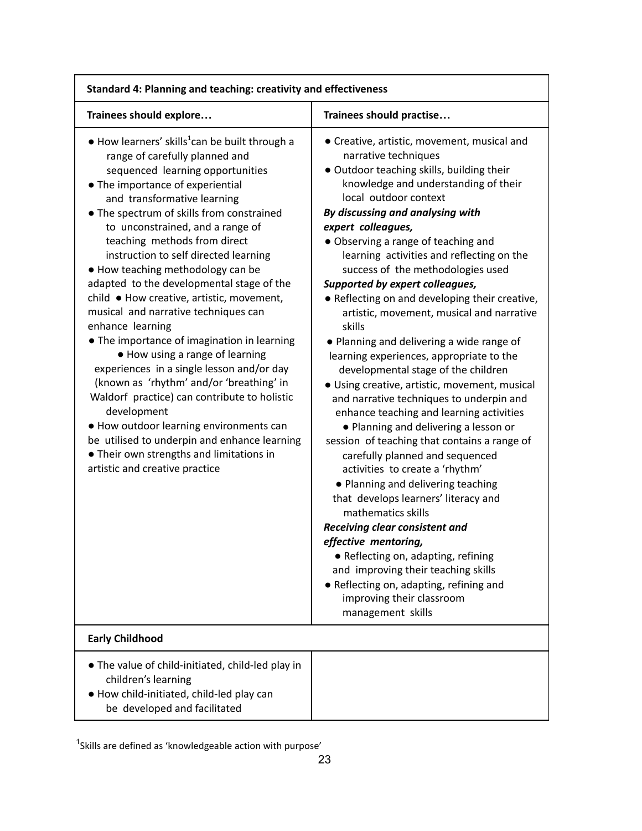| Standard 4: Planning and teaching: creativity and effectiveness                                                                                                                                                                                                                                                                                                                                                                                                                                                                                                                                                                                                                                                                                                                                                                                                                                                                                                                     |                                                                                                                                                                                                                                                                                                                                                                                                                                                                                                                                                                                                                                                                                                                                                                                                                                                                                                                                                                                                                                                                                                                                                                                                                                                                                                          |
|-------------------------------------------------------------------------------------------------------------------------------------------------------------------------------------------------------------------------------------------------------------------------------------------------------------------------------------------------------------------------------------------------------------------------------------------------------------------------------------------------------------------------------------------------------------------------------------------------------------------------------------------------------------------------------------------------------------------------------------------------------------------------------------------------------------------------------------------------------------------------------------------------------------------------------------------------------------------------------------|----------------------------------------------------------------------------------------------------------------------------------------------------------------------------------------------------------------------------------------------------------------------------------------------------------------------------------------------------------------------------------------------------------------------------------------------------------------------------------------------------------------------------------------------------------------------------------------------------------------------------------------------------------------------------------------------------------------------------------------------------------------------------------------------------------------------------------------------------------------------------------------------------------------------------------------------------------------------------------------------------------------------------------------------------------------------------------------------------------------------------------------------------------------------------------------------------------------------------------------------------------------------------------------------------------|
| Trainees should explore                                                                                                                                                                                                                                                                                                                                                                                                                                                                                                                                                                                                                                                                                                                                                                                                                                                                                                                                                             | Trainees should practise                                                                                                                                                                                                                                                                                                                                                                                                                                                                                                                                                                                                                                                                                                                                                                                                                                                                                                                                                                                                                                                                                                                                                                                                                                                                                 |
| $\bullet$ How learners' skills <sup>1</sup> can be built through a<br>range of carefully planned and<br>sequenced learning opportunities<br>• The importance of experiential<br>and transformative learning<br>• The spectrum of skills from constrained<br>to unconstrained, and a range of<br>teaching methods from direct<br>instruction to self directed learning<br>• How teaching methodology can be<br>adapted to the developmental stage of the<br>child . How creative, artistic, movement,<br>musical and narrative techniques can<br>enhance learning<br>• The importance of imagination in learning<br>• How using a range of learning<br>experiences in a single lesson and/or day<br>(known as 'rhythm' and/or 'breathing' in<br>Waldorf practice) can contribute to holistic<br>development<br>• How outdoor learning environments can<br>be utilised to underpin and enhance learning<br>• Their own strengths and limitations in<br>artistic and creative practice | • Creative, artistic, movement, musical and<br>narrative techniques<br>· Outdoor teaching skills, building their<br>knowledge and understanding of their<br>local outdoor context<br>By discussing and analysing with<br>expert colleagues,<br>• Observing a range of teaching and<br>learning activities and reflecting on the<br>success of the methodologies used<br><b>Supported by expert colleagues,</b><br>• Reflecting on and developing their creative,<br>artistic, movement, musical and narrative<br>skills<br>• Planning and delivering a wide range of<br>learning experiences, appropriate to the<br>developmental stage of the children<br>· Using creative, artistic, movement, musical<br>and narrative techniques to underpin and<br>enhance teaching and learning activities<br>• Planning and delivering a lesson or<br>session of teaching that contains a range of<br>carefully planned and sequenced<br>activities to create a 'rhythm'<br>• Planning and delivering teaching<br>that develops learners' literacy and<br>mathematics skills<br>Receiving clear consistent and<br>effective mentoring,<br>· Reflecting on, adapting, refining<br>and improving their teaching skills<br>• Reflecting on, adapting, refining and<br>improving their classroom<br>management skills |
| <b>Early Childhood</b>                                                                                                                                                                                                                                                                                                                                                                                                                                                                                                                                                                                                                                                                                                                                                                                                                                                                                                                                                              |                                                                                                                                                                                                                                                                                                                                                                                                                                                                                                                                                                                                                                                                                                                                                                                                                                                                                                                                                                                                                                                                                                                                                                                                                                                                                                          |
| . The value of child-initiated, child-led play in<br>children's learning<br>. How child-initiated, child-led play can<br>be developed and facilitated                                                                                                                                                                                                                                                                                                                                                                                                                                                                                                                                                                                                                                                                                                                                                                                                                               |                                                                                                                                                                                                                                                                                                                                                                                                                                                                                                                                                                                                                                                                                                                                                                                                                                                                                                                                                                                                                                                                                                                                                                                                                                                                                                          |

<sup>1</sup>Skills are defined as 'knowledgeable action with purpose'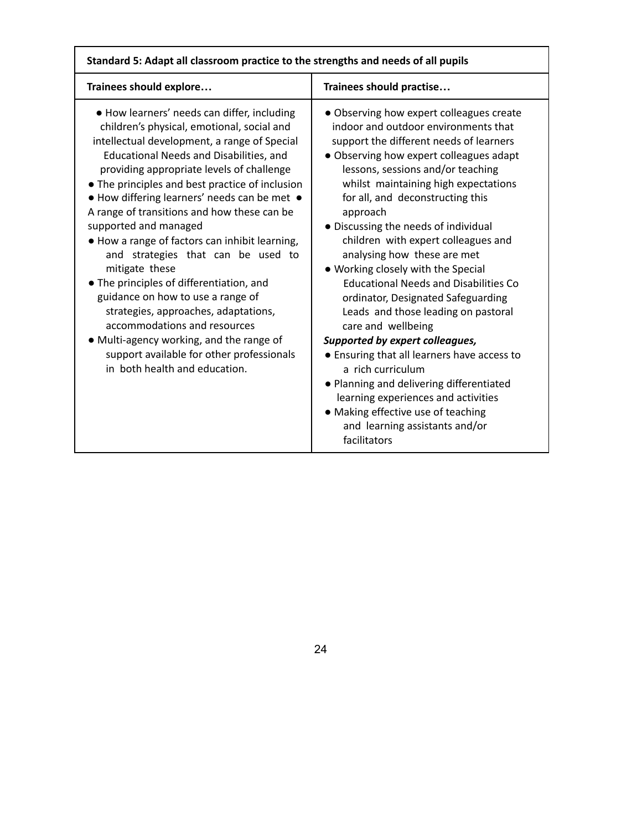| Standard 5: Adapt all classroom practice to the strengths and needs of all pupils                                                                                                                                                                                                                                                                                                                                                                                                                                                                                                                                                                                                                                                                                                                                |                                                                                                                                                                                                                                                                                                                                                                                                                                                                                                                                                                                                                                                                                                                                                                                                                                                                                              |
|------------------------------------------------------------------------------------------------------------------------------------------------------------------------------------------------------------------------------------------------------------------------------------------------------------------------------------------------------------------------------------------------------------------------------------------------------------------------------------------------------------------------------------------------------------------------------------------------------------------------------------------------------------------------------------------------------------------------------------------------------------------------------------------------------------------|----------------------------------------------------------------------------------------------------------------------------------------------------------------------------------------------------------------------------------------------------------------------------------------------------------------------------------------------------------------------------------------------------------------------------------------------------------------------------------------------------------------------------------------------------------------------------------------------------------------------------------------------------------------------------------------------------------------------------------------------------------------------------------------------------------------------------------------------------------------------------------------------|
| Trainees should explore                                                                                                                                                                                                                                                                                                                                                                                                                                                                                                                                                                                                                                                                                                                                                                                          | Trainees should practise                                                                                                                                                                                                                                                                                                                                                                                                                                                                                                                                                                                                                                                                                                                                                                                                                                                                     |
| • How learners' needs can differ, including<br>children's physical, emotional, social and<br>intellectual development, a range of Special<br><b>Educational Needs and Disabilities, and</b><br>providing appropriate levels of challenge<br>• The principles and best practice of inclusion<br>• How differing learners' needs can be met •<br>A range of transitions and how these can be<br>supported and managed<br>. How a range of factors can inhibit learning,<br>and strategies that can be used to<br>mitigate these<br>• The principles of differentiation, and<br>guidance on how to use a range of<br>strategies, approaches, adaptations,<br>accommodations and resources<br>• Multi-agency working, and the range of<br>support available for other professionals<br>in both health and education. | • Observing how expert colleagues create<br>indoor and outdoor environments that<br>support the different needs of learners<br>• Observing how expert colleagues adapt<br>lessons, sessions and/or teaching<br>whilst maintaining high expectations<br>for all, and deconstructing this<br>approach<br>• Discussing the needs of individual<br>children with expert colleagues and<br>analysing how these are met<br>. Working closely with the Special<br><b>Educational Needs and Disabilities Co</b><br>ordinator, Designated Safeguarding<br>Leads and those leading on pastoral<br>care and wellbeing<br>Supported by expert colleagues,<br>• Ensuring that all learners have access to<br>a rich curriculum<br>• Planning and delivering differentiated<br>learning experiences and activities<br>• Making effective use of teaching<br>and learning assistants and/or<br>facilitators |

### 24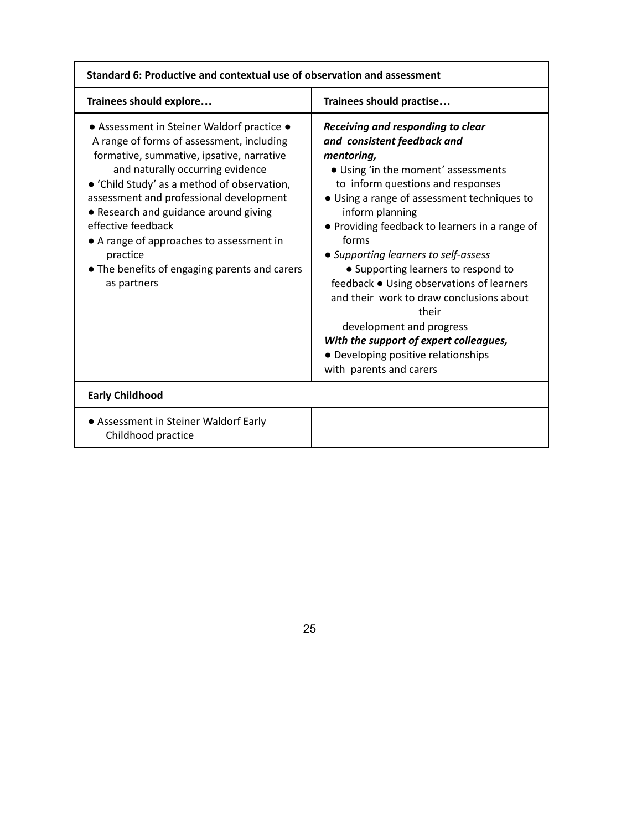| Standard 6: Productive and contextual use of observation and assessment                                                                                                                                                                                                                                                                                                                                                                                   |                                                                                                                                                                                                                                                                                                                                                                                                                                                                                                                                                                                                                  |
|-----------------------------------------------------------------------------------------------------------------------------------------------------------------------------------------------------------------------------------------------------------------------------------------------------------------------------------------------------------------------------------------------------------------------------------------------------------|------------------------------------------------------------------------------------------------------------------------------------------------------------------------------------------------------------------------------------------------------------------------------------------------------------------------------------------------------------------------------------------------------------------------------------------------------------------------------------------------------------------------------------------------------------------------------------------------------------------|
| Trainees should explore                                                                                                                                                                                                                                                                                                                                                                                                                                   | Trainees should practise                                                                                                                                                                                                                                                                                                                                                                                                                                                                                                                                                                                         |
| • Assessment in Steiner Waldorf practice •<br>A range of forms of assessment, including<br>formative, summative, ipsative, narrative<br>and naturally occurring evidence<br>• 'Child Study' as a method of observation,<br>assessment and professional development<br>• Research and guidance around giving<br>effective feedback<br>• A range of approaches to assessment in<br>practice<br>• The benefits of engaging parents and carers<br>as partners | Receiving and responding to clear<br>and consistent feedback and<br>mentoring,<br>• Using 'in the moment' assessments<br>to inform questions and responses<br>• Using a range of assessment techniques to<br>inform planning<br>• Providing feedback to learners in a range of<br>forms<br>• Supporting learners to self-assess<br>• Supporting learners to respond to<br>feedback • Using observations of learners<br>and their work to draw conclusions about<br>their<br>development and progress<br>With the support of expert colleagues,<br>• Developing positive relationships<br>with parents and carers |
| <b>Early Childhood</b>                                                                                                                                                                                                                                                                                                                                                                                                                                    |                                                                                                                                                                                                                                                                                                                                                                                                                                                                                                                                                                                                                  |
| • Assessment in Steiner Waldorf Early<br>Childhood practice                                                                                                                                                                                                                                                                                                                                                                                               |                                                                                                                                                                                                                                                                                                                                                                                                                                                                                                                                                                                                                  |

 $\mathbf{r}$ 

25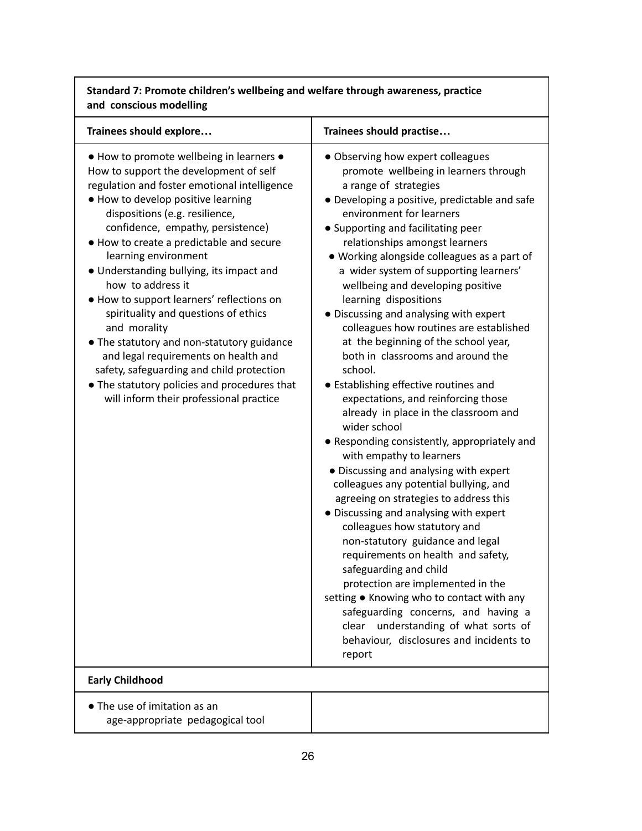| Standard 7: Promote children's wellbeing and welfare through awareness, practice<br>and conscious modelling                                                                                                                                                                                                                                                                                                                                                                                                                                                                                                                                                                                                             |                                                                                                                                                                                                                                                                                                                                                                                                                                                                                                                                                                                                                                                                                                                                                                                                                                                                                                                                                                                                                                                                                                                                                                                                                                                                                                                                                     |
|-------------------------------------------------------------------------------------------------------------------------------------------------------------------------------------------------------------------------------------------------------------------------------------------------------------------------------------------------------------------------------------------------------------------------------------------------------------------------------------------------------------------------------------------------------------------------------------------------------------------------------------------------------------------------------------------------------------------------|-----------------------------------------------------------------------------------------------------------------------------------------------------------------------------------------------------------------------------------------------------------------------------------------------------------------------------------------------------------------------------------------------------------------------------------------------------------------------------------------------------------------------------------------------------------------------------------------------------------------------------------------------------------------------------------------------------------------------------------------------------------------------------------------------------------------------------------------------------------------------------------------------------------------------------------------------------------------------------------------------------------------------------------------------------------------------------------------------------------------------------------------------------------------------------------------------------------------------------------------------------------------------------------------------------------------------------------------------------|
| Trainees should explore                                                                                                                                                                                                                                                                                                                                                                                                                                                                                                                                                                                                                                                                                                 | Trainees should practise                                                                                                                                                                                                                                                                                                                                                                                                                                                                                                                                                                                                                                                                                                                                                                                                                                                                                                                                                                                                                                                                                                                                                                                                                                                                                                                            |
| • How to promote wellbeing in learners •<br>How to support the development of self<br>regulation and foster emotional intelligence<br>. How to develop positive learning<br>dispositions (e.g. resilience,<br>confidence, empathy, persistence)<br>. How to create a predictable and secure<br>learning environment<br>· Understanding bullying, its impact and<br>how to address it<br>. How to support learners' reflections on<br>spirituality and questions of ethics<br>and morality<br>. The statutory and non-statutory guidance<br>and legal requirements on health and<br>safety, safeguarding and child protection<br>• The statutory policies and procedures that<br>will inform their professional practice | • Observing how expert colleagues<br>promote wellbeing in learners through<br>a range of strategies<br>• Developing a positive, predictable and safe<br>environment for learners<br>• Supporting and facilitating peer<br>relationships amongst learners<br>. Working alongside colleagues as a part of<br>a wider system of supporting learners'<br>wellbeing and developing positive<br>learning dispositions<br>• Discussing and analysing with expert<br>colleagues how routines are established<br>at the beginning of the school year,<br>both in classrooms and around the<br>school.<br>• Establishing effective routines and<br>expectations, and reinforcing those<br>already in place in the classroom and<br>wider school<br>• Responding consistently, appropriately and<br>with empathy to learners<br>• Discussing and analysing with expert<br>colleagues any potential bullying, and<br>agreeing on strategies to address this<br>• Discussing and analysing with expert<br>colleagues how statutory and<br>non-statutory guidance and legal<br>requirements on health and safety,<br>safeguarding and child<br>protection are implemented in the<br>setting . Knowing who to contact with any<br>safeguarding concerns, and having a<br>clear understanding of what sorts of<br>behaviour, disclosures and incidents to<br>report |
| <b>Early Childhood</b>                                                                                                                                                                                                                                                                                                                                                                                                                                                                                                                                                                                                                                                                                                  |                                                                                                                                                                                                                                                                                                                                                                                                                                                                                                                                                                                                                                                                                                                                                                                                                                                                                                                                                                                                                                                                                                                                                                                                                                                                                                                                                     |
| • The use of imitation as an<br>age-appropriate pedagogical tool                                                                                                                                                                                                                                                                                                                                                                                                                                                                                                                                                                                                                                                        |                                                                                                                                                                                                                                                                                                                                                                                                                                                                                                                                                                                                                                                                                                                                                                                                                                                                                                                                                                                                                                                                                                                                                                                                                                                                                                                                                     |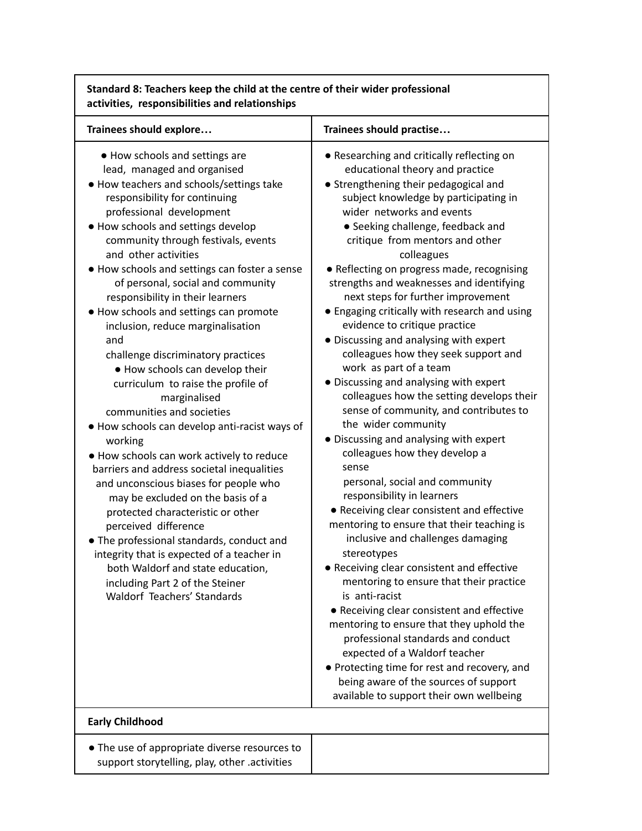| Standard 8: Teachers keep the child at the centre of their wider professional<br>activities, responsibilities and relationships                                                                                                                                                                                                                                                                                                                                                                                                                                                                                                                                                                                                                                                                                                                                                                                                                                                                                                                                                                                                                             |                                                                                                                                                                                                                                                                                                                                                                                                                                                                                                                                                                                                                                                                                                                                                                                                                                                                                                                                                                                                                                                                                                                                                                                                                                                                                                                                                                                                                                                                                               |
|-------------------------------------------------------------------------------------------------------------------------------------------------------------------------------------------------------------------------------------------------------------------------------------------------------------------------------------------------------------------------------------------------------------------------------------------------------------------------------------------------------------------------------------------------------------------------------------------------------------------------------------------------------------------------------------------------------------------------------------------------------------------------------------------------------------------------------------------------------------------------------------------------------------------------------------------------------------------------------------------------------------------------------------------------------------------------------------------------------------------------------------------------------------|-----------------------------------------------------------------------------------------------------------------------------------------------------------------------------------------------------------------------------------------------------------------------------------------------------------------------------------------------------------------------------------------------------------------------------------------------------------------------------------------------------------------------------------------------------------------------------------------------------------------------------------------------------------------------------------------------------------------------------------------------------------------------------------------------------------------------------------------------------------------------------------------------------------------------------------------------------------------------------------------------------------------------------------------------------------------------------------------------------------------------------------------------------------------------------------------------------------------------------------------------------------------------------------------------------------------------------------------------------------------------------------------------------------------------------------------------------------------------------------------------|
| Trainees should explore                                                                                                                                                                                                                                                                                                                                                                                                                                                                                                                                                                                                                                                                                                                                                                                                                                                                                                                                                                                                                                                                                                                                     | Trainees should practise                                                                                                                                                                                                                                                                                                                                                                                                                                                                                                                                                                                                                                                                                                                                                                                                                                                                                                                                                                                                                                                                                                                                                                                                                                                                                                                                                                                                                                                                      |
| • How schools and settings are<br>lead, managed and organised<br>• How teachers and schools/settings take<br>responsibility for continuing<br>professional development<br>. How schools and settings develop<br>community through festivals, events<br>and other activities<br>• How schools and settings can foster a sense<br>of personal, social and community<br>responsibility in their learners<br>• How schools and settings can promote<br>inclusion, reduce marginalisation<br>and<br>challenge discriminatory practices<br>• How schools can develop their<br>curriculum to raise the profile of<br>marginalised<br>communities and societies<br>. How schools can develop anti-racist ways of<br>working<br>. How schools can work actively to reduce<br>barriers and address societal inequalities<br>and unconscious biases for people who<br>may be excluded on the basis of a<br>protected characteristic or other<br>perceived difference<br>. The professional standards, conduct and<br>integrity that is expected of a teacher in<br>both Waldorf and state education,<br>including Part 2 of the Steiner<br>Waldorf Teachers' Standards | • Researching and critically reflecting on<br>educational theory and practice<br>• Strengthening their pedagogical and<br>subject knowledge by participating in<br>wider networks and events<br>• Seeking challenge, feedback and<br>critique from mentors and other<br>colleagues<br>• Reflecting on progress made, recognising<br>strengths and weaknesses and identifying<br>next steps for further improvement<br>• Engaging critically with research and using<br>evidence to critique practice<br>• Discussing and analysing with expert<br>colleagues how they seek support and<br>work as part of a team<br>• Discussing and analysing with expert<br>colleagues how the setting develops their<br>sense of community, and contributes to<br>the wider community<br>• Discussing and analysing with expert<br>colleagues how they develop a<br>sense<br>personal, social and community<br>responsibility in learners<br>• Receiving clear consistent and effective<br>mentoring to ensure that their teaching is<br>inclusive and challenges damaging<br>stereotypes<br>• Receiving clear consistent and effective<br>mentoring to ensure that their practice<br>is anti-racist<br>• Receiving clear consistent and effective<br>mentoring to ensure that they uphold the<br>professional standards and conduct<br>expected of a Waldorf teacher<br>• Protecting time for rest and recovery, and<br>being aware of the sources of support<br>available to support their own wellbeing |
| <b>Early Childhood</b>                                                                                                                                                                                                                                                                                                                                                                                                                                                                                                                                                                                                                                                                                                                                                                                                                                                                                                                                                                                                                                                                                                                                      |                                                                                                                                                                                                                                                                                                                                                                                                                                                                                                                                                                                                                                                                                                                                                                                                                                                                                                                                                                                                                                                                                                                                                                                                                                                                                                                                                                                                                                                                                               |
| • The use of appropriate diverse resources to                                                                                                                                                                                                                                                                                                                                                                                                                                                                                                                                                                                                                                                                                                                                                                                                                                                                                                                                                                                                                                                                                                               |                                                                                                                                                                                                                                                                                                                                                                                                                                                                                                                                                                                                                                                                                                                                                                                                                                                                                                                                                                                                                                                                                                                                                                                                                                                                                                                                                                                                                                                                                               |

support storytelling, play, other .activities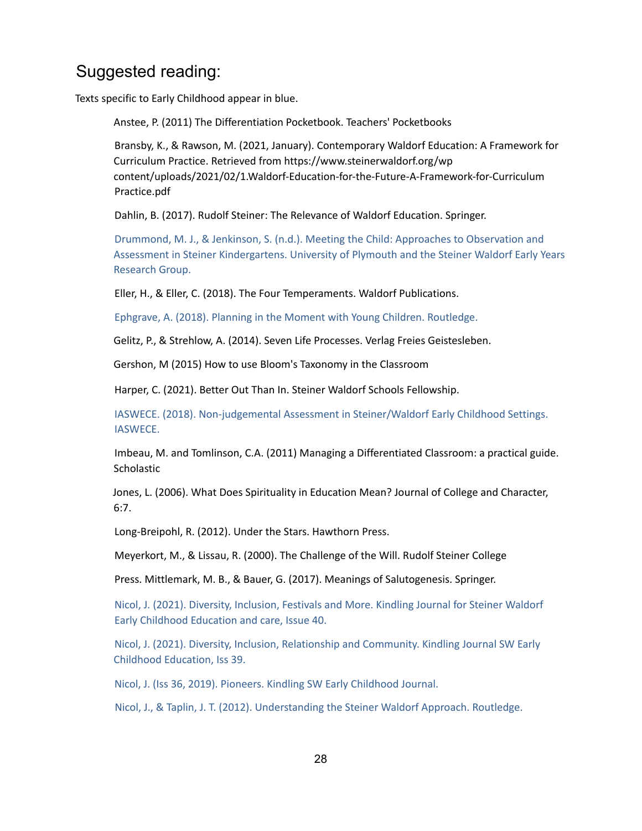### Suggested reading:

Texts specific to Early Childhood appear in blue.

Anstee, P. (2011) The Differentiation Pocketbook. Teachers' Pocketbooks

Bransby, K., & Rawson, M. (2021, January). Contemporary Waldorf Education: A Framework for Curriculum Practice. Retrieved from https://www.steinerwaldorf.org/wp content/uploads/2021/02/1.Waldorf-Education-for-the-Future-A-Framework-for-Curriculum Practice.pdf

Dahlin, B. (2017). Rudolf Steiner: The Relevance of Waldorf Education. Springer.

Drummond, M. J., & Jenkinson, S. (n.d.). Meeting the Child: Approaches to Observation and Assessment in Steiner Kindergartens. University of Plymouth and the Steiner Waldorf Early Years Research Group.

Eller, H., & Eller, C. (2018). The Four Temperaments. Waldorf Publications.

Ephgrave, A. (2018). Planning in the Moment with Young Children. Routledge.

Gelitz, P., & Strehlow, A. (2014). Seven Life Processes. Verlag Freies Geistesleben.

Gershon, M (2015) How to use Bloom's Taxonomy in the Classroom

Harper, C. (2021). Better Out Than In. Steiner Waldorf Schools Fellowship.

IASWECE. (2018). Non-judgemental Assessment in Steiner/Waldorf Early Childhood Settings. IASWECE.

Imbeau, M. and Tomlinson, C.A. (2011) Managing a Differentiated Classroom: a practical guide. **Scholastic** 

Jones, L. (2006). What Does Spirituality in Education Mean? Journal of College and Character, 6:7.

Long-Breipohl, R. (2012). Under the Stars. Hawthorn Press.

Meyerkort, M., & Lissau, R. (2000). The Challenge of the Will. Rudolf Steiner College

Press. Mittlemark, M. B., & Bauer, G. (2017). Meanings of Salutogenesis. Springer.

Nicol, J. (2021). Diversity, Inclusion, Festivals and More. Kindling Journal for Steiner Waldorf Early Childhood Education and care, Issue 40.

Nicol, J. (2021). Diversity, Inclusion, Relationship and Community. Kindling Journal SW Early Childhood Education, Iss 39.

Nicol, J. (Iss 36, 2019). Pioneers. Kindling SW Early Childhood Journal.

Nicol, J., & Taplin, J. T. (2012). Understanding the Steiner Waldorf Approach. Routledge.